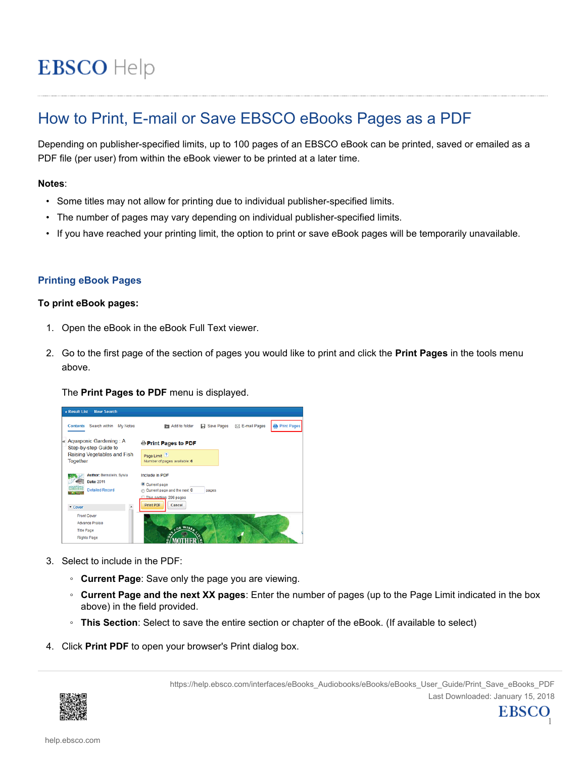# **EBSCO** Help

# How to Print, E-mail or Save EBSCO eBooks Pages as a PDF

Depending on publisher-specified limits, up to 100 pages of an EBSCO eBook can be printed, saved or emailed as a PDF file (per user) from within the eBook viewer to be printed at a later time.

# **Notes**:

- Some titles may not allow for printing due to individual publisher-specified limits.
- The number of pages may vary depending on individual publisher-specified limits.
- If you have reached your printing limit, the option to print or save eBook pages will be temporarily unavailable.

# **Printing eBook Pages**

## **To print eBook pages:**

- 1. Open the eBook in the eBook Full Text viewer.
- 2. Go to the first page of the section of pages you would like to print and click the **Print Pages** in the tools menu above.

## The **Print Pages to PDF** menu is displayed.



- 3. Select to include in the PDF:
	- **Current Page**: Save only the page you are viewing.
	- **Current Page and the next XX pages**: Enter the number of pages (up to the Page Limit indicated in the box above) in the field provided.
	- **This Section**: Select to save the entire section or chapter of the eBook. (If available to select)
- 4. Click **Print PDF** to open your browser's Print dialog box.



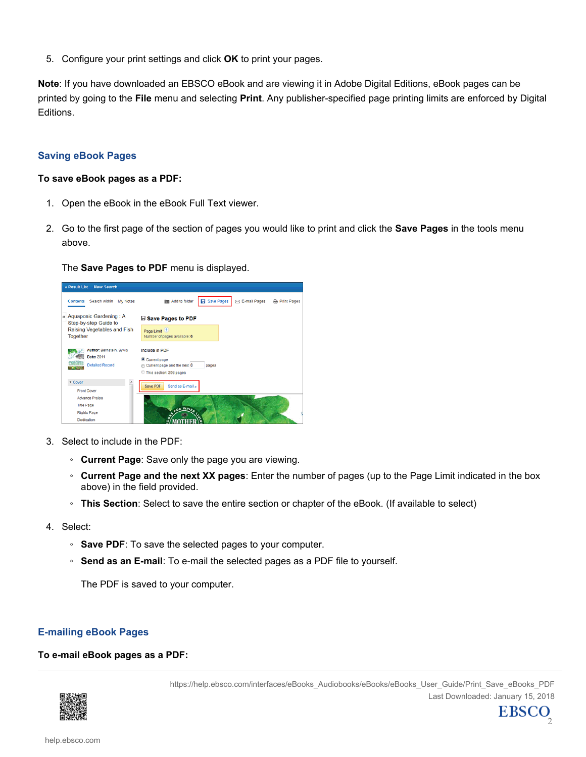5. Configure your print settings and click **OK** to print your pages.

**Note**: If you have downloaded an EBSCO eBook and are viewing it in Adobe Digital Editions, eBook pages can be printed by going to the **File** menu and selecting **Print**. Any publisher-specified page printing limits are enforced by Digital Editions.

# **Saving eBook Pages**

#### **To save eBook pages as a PDF:**

- 1. Open the eBook in the eBook Full Text viewer.
- 2. Go to the first page of the section of pages you would like to print and click the **Save Pages** in the tools menu above.

## The **Save Pages to PDF** menu is displayed.



- 3. Select to include in the PDF:
	- **Current Page**: Save only the page you are viewing.
	- **Current Page and the next XX pages**: Enter the number of pages (up to the Page Limit indicated in the box above) in the field provided.
	- **This Section**: Select to save the entire section or chapter of the eBook. (If available to select)
- 4. Select:
	- **Save PDF**: To save the selected pages to your computer.
	- **Send as an E-mail**: To e-mail the selected pages as a PDF file to yourself.

The PDF is saved to your computer.

## **E-mailing eBook Pages**

## **To e-mail eBook pages as a PDF:**